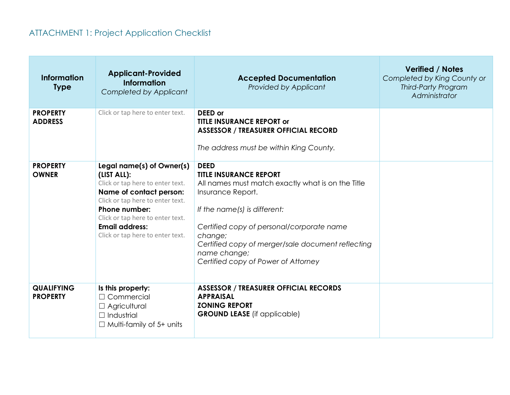## ATTACHMENT 1: Project Application Checklist

| <b>Information</b><br><b>Type</b>    | <b>Applicant-Provided</b><br><b>Information</b><br>Completed by Applicant                                                                                                                                                                                            | <b>Accepted Documentation</b><br><b>Provided by Applicant</b>                                                                                                                                                                                                                                                              | <b>Verified / Notes</b><br>Completed by King County or<br><b>Third-Party Program</b><br>Administrator |
|--------------------------------------|----------------------------------------------------------------------------------------------------------------------------------------------------------------------------------------------------------------------------------------------------------------------|----------------------------------------------------------------------------------------------------------------------------------------------------------------------------------------------------------------------------------------------------------------------------------------------------------------------------|-------------------------------------------------------------------------------------------------------|
| <b>PROPERTY</b><br><b>ADDRESS</b>    | Click or tap here to enter text.                                                                                                                                                                                                                                     | DEED or<br><b>TITLE INSURANCE REPORT or</b><br><b>ASSESSOR / TREASURER OFFICIAL RECORD</b><br>The address must be within King County.                                                                                                                                                                                      |                                                                                                       |
| <b>PROPERTY</b><br><b>OWNER</b>      | Legal name(s) of Owner(s)<br>(LIST ALL):<br>Click or tap here to enter text.<br>Name of contact person:<br>Click or tap here to enter text.<br><b>Phone number:</b><br>Click or tap here to enter text.<br><b>Email address:</b><br>Click or tap here to enter text. | <b>DEED</b><br><b>TITLE INSURANCE REPORT</b><br>All names must match exactly what is on the Title<br>Insurance Report.<br>If the name(s) is different:<br>Certified copy of personal/corporate name<br>change;<br>Certified copy of merger/sale document reflecting<br>name change;<br>Certified copy of Power of Attorney |                                                                                                       |
| <b>QUALIFYING</b><br><b>PROPERTY</b> | Is this property:<br>$\Box$ Commercial<br>$\Box$ Agricultural<br>$\Box$ Industrial<br>$\Box$ Multi-family of 5+ units                                                                                                                                                | <b>ASSESSOR / TREASURER OFFICIAL RECORDS</b><br><b>APPRAISAL</b><br><b>ZONING REPORT</b><br><b>GROUND LEASE</b> (if applicable)                                                                                                                                                                                            |                                                                                                       |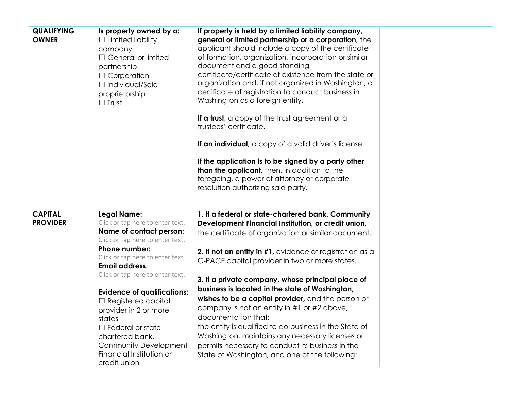| <b>QUALIFYING</b><br><b>OWNER</b> | Is property owned by a:<br>$\Box$ Limited liability<br>company<br>$\Box$ General or limited<br>partnership<br>$\Box$ Corporation<br>$\Box$ Individual/Sole<br>proprietorship<br>$\Box$ Trust                                                                                                                                                                                                                                                                      | If property is held by a limited liability company,<br>general or limited partnership or a corporation, the<br>applicant should include a copy of the certificate<br>of formation, organization, incorporation or similar<br>document and a good standing<br>certificate/certificate of existence from the state or<br>organization and, if not organized in Washington, a<br>certificate of registration to conduct business in<br>Washington as a foreign entity.<br>If a trust, a copy of the trust agreement or a<br>trustees' certificate.<br>If an individual, a copy of a valid driver's license.<br>If the application is to be signed by a party other<br>than the applicant, then, in addition to the<br>foregoing, a power of attorney or corporate<br>resolution authorizing said party. |  |
|-----------------------------------|-------------------------------------------------------------------------------------------------------------------------------------------------------------------------------------------------------------------------------------------------------------------------------------------------------------------------------------------------------------------------------------------------------------------------------------------------------------------|------------------------------------------------------------------------------------------------------------------------------------------------------------------------------------------------------------------------------------------------------------------------------------------------------------------------------------------------------------------------------------------------------------------------------------------------------------------------------------------------------------------------------------------------------------------------------------------------------------------------------------------------------------------------------------------------------------------------------------------------------------------------------------------------------|--|
| <b>CAPITAL</b><br><b>PROVIDER</b> | <b>Legal Name:</b><br>Click or tap here to enter text.<br>Name of contact person:<br>Click or tap here to enter text.<br>Phone number:<br>Click or tap here to enter text.<br><b>Email address:</b><br>Click or tap here to enter text.<br><b>Evidence of qualifications:</b><br>$\Box$ Registered capital<br>provider in 2 or more<br>states<br>$\Box$ Federal or state-<br>chartered bank,<br>Community Development<br>Financial Institution or<br>credit union | 1. If a federal or state-chartered bank, Community<br>Development Financial Institution, or credit union,<br>the certificate of organization or similar document.<br>2. If not an entity in #1, evidence of registration as a<br>C-PACE capital provider in two or more states.<br>3. If a private company, whose principal place of<br>business is located in the state of Washington,<br>wishes to be a capital provider, and the person or<br>company is not an entity in #1 or #2 above,<br>documentation that:<br>the entity is qualified to do business in the State of<br>Washington, maintains any necessary licenses or<br>permits necessary to conduct its business in the<br>State of Washington, and one of the following:                                                               |  |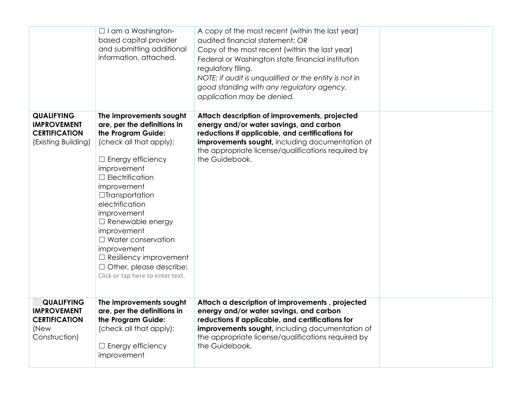|                                                                                          | $\Box$ I am a Washington-<br>based capital provider<br>and submitting additional<br>information, attached.                                                                                                                                                                                                                                                                                                                                          | A copy of the most recent (within the last year)<br>audited financial statement; OR<br>Copy of the most recent (within the last year)<br>Federal or Washington state financial institution<br>regulatory filing.                                                                  |  |
|------------------------------------------------------------------------------------------|-----------------------------------------------------------------------------------------------------------------------------------------------------------------------------------------------------------------------------------------------------------------------------------------------------------------------------------------------------------------------------------------------------------------------------------------------------|-----------------------------------------------------------------------------------------------------------------------------------------------------------------------------------------------------------------------------------------------------------------------------------|--|
|                                                                                          |                                                                                                                                                                                                                                                                                                                                                                                                                                                     | NOTE: if audit is unqualified or the entity is not in<br>good standing with any regulatory agency,<br>application may be denied.                                                                                                                                                  |  |
| <b>QUALIFYING</b><br><b>IMPROVEMENT</b><br><b>CERTIFICATION</b><br>(Existing Building)   | The improvements sought<br>are, per the definitions in<br>the Program Guide:<br>(check all that apply):<br>$\Box$ Energy efficiency<br>improvement<br>$\Box$ Electrification<br>improvement<br>$\Box$ Transportation<br>electrification<br>improvement<br>$\Box$ Renewable energy<br>improvement<br>$\Box$ Water conservation<br>improvement<br>$\Box$ Resiliency improvement<br>$\Box$ Other, please describe:<br>Click or tap here to enter text. | Attach description of improvements, projected<br>energy and/or water savings, and carbon<br>reductions if applicable, and certifications for<br><b>improvements sought</b> , including documentation of<br>the appropriate license/qualifications required by<br>the Guidebook.   |  |
| <b>QUALIFYING</b><br><b>IMPROVEMENT</b><br><b>CERTIFICATION</b><br>(New<br>Construction) | The improvements sought<br>are, per the definitions in<br>the Program Guide:<br>(check all that apply):<br>$\Box$ Energy efficiency<br>improvement                                                                                                                                                                                                                                                                                                  | Attach a description of improvements, projected<br>energy and/or water savings, and carbon<br>reductions if applicable, and certifications for<br><b>improvements sought</b> , including documentation of<br>the appropriate license/qualifications required by<br>the Guidebook. |  |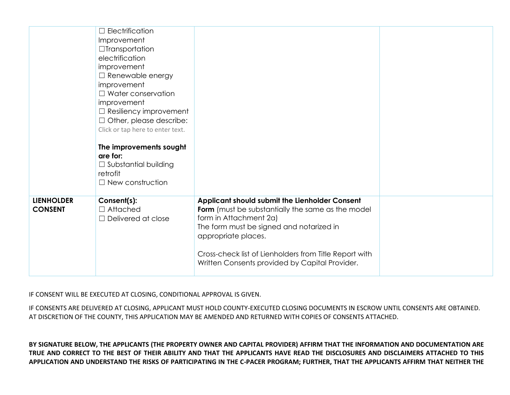|                                     | $\Box$ Electrification<br>Improvement<br>$\Box$ Transportation<br>electrification<br>improvement<br>$\Box$ Renewable energy<br>improvement<br>$\Box$ Water conservation<br>improvement<br>$\Box$ Resiliency improvement<br>$\Box$ Other, please describe:<br>Click or tap here to enter text.<br>The improvements sought<br>are for:<br>$\Box$ Substantial building<br>retrofit<br>$\Box$ New construction |                                                                                                                                                                                                                                                                                                              |  |
|-------------------------------------|------------------------------------------------------------------------------------------------------------------------------------------------------------------------------------------------------------------------------------------------------------------------------------------------------------------------------------------------------------------------------------------------------------|--------------------------------------------------------------------------------------------------------------------------------------------------------------------------------------------------------------------------------------------------------------------------------------------------------------|--|
| <b>LIENHOLDER</b><br><b>CONSENT</b> | Consent(s):<br>$\Box$ Attached<br>$\Box$ Delivered at close                                                                                                                                                                                                                                                                                                                                                | Applicant should submit the Lienholder Consent<br>Form (must be substantially the same as the model<br>form in Attachment 2a)<br>The form must be signed and notarized in<br>appropriate places.<br>Cross-check list of Lienholders from Title Report with<br>Written Consents provided by Capital Provider. |  |

IF CONSENT WILL BE EXECUTED AT CLOSING, CONDITIONAL APPROVAL IS GIVEN.

IF CONSENTS ARE DELIVERED AT CLOSING, APPLICANT MUST HOLD COUNTY-EXECUTED CLOSING DOCUMENTS IN ESCROW UNTIL CONSENTS ARE OBTAINED. AT DISCRETION OF THE COUNTY, THIS APPLICATION MAY BE AMENDED AND RETURNED WITH COPIES OF CONSENTS ATTACHED.

**BY SIGNATURE BELOW, THE APPLICANTS (THE PROPERTY OWNER AND CAPITAL PROVIDER) AFFIRM THAT THE INFORMATION AND DOCUMENTATION ARE TRUE AND CORRECT TO THE BEST OF THEIR ABILITY AND THAT THE APPLICANTS HAVE READ THE DISCLOSURES AND DISCLAIMERS ATTACHED TO THIS APPLICATION AND UNDERSTAND THE RISKS OF PARTICIPATING IN THE C-PACER PROGRAM; FURTHER, THAT THE APPLICANTS AFFIRM THAT NEITHER THE**